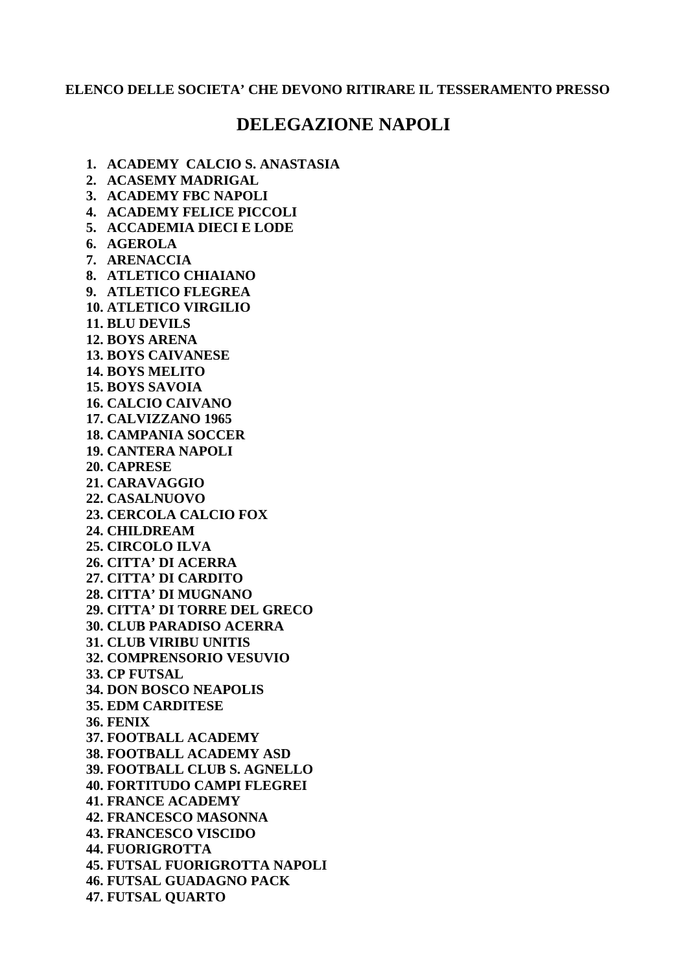## **ELENCO DELLE SOCIETA' CHE DEVONO RITIRARE IL TESSERAMENTO PRESSO**

## **DELEGAZIONE NAPOLI**

**1. ACADEMY CALCIO S. ANASTASIA** 

- **2. ACASEMY MADRIGAL**
- **3. ACADEMY FBC NAPOLI**
- **4. ACADEMY FELICE PICCOLI**
- **5. ACCADEMIA DIECI E LODE**
- **6. AGEROLA**
- **7. ARENACCIA**
- **8. ATLETICO CHIAIANO**
- **9. ATLETICO FLEGREA**
- **10. ATLETICO VIRGILIO**
- **11. BLU DEVILS**
- **12. BOYS ARENA**
- **13. BOYS CAIVANESE**
- **14. BOYS MELITO 15. BOYS SAVOIA**
- **16. CALCIO CAIVANO**
- **17. CALVIZZANO 1965**
- **18. CAMPANIA SOCCER**
- **19. CANTERA NAPOLI**
- **20. CAPRESE**
- **21. CARAVAGGIO**
- **22. CASALNUOVO**
- **23. CERCOLA CALCIO FOX**
- **24. CHILDREAM**
- **25. CIRCOLO ILVA**
- **26. CITTA' DI ACERRA**
- **27. CITTA' DI CARDITO**
- **28. CITTA' DI MUGNANO**
- **29. CITTA' DI TORRE DEL GRECO**
- **30. CLUB PARADISO ACERRA**
- **31. CLUB VIRIBU UNITIS**
- **32. COMPRENSORIO VESUVIO**
- **33. CP FUTSAL**
- **34. DON BOSCO NEAPOLIS**
- **35. EDM CARDITESE**
- **36. FENIX**
- **37. FOOTBALL ACADEMY**
- **38. FOOTBALL ACADEMY ASD**
- **39. FOOTBALL CLUB S. AGNELLO**
- **40. FORTITUDO CAMPI FLEGREI**
- **41. FRANCE ACADEMY**
- **42. FRANCESCO MASONNA**
- **43. FRANCESCO VISCIDO**
- **44. FUORIGROTTA**
- **45. FUTSAL FUORIGROTTA NAPOLI**
- **46. FUTSAL GUADAGNO PACK**
- **47. FUTSAL QUARTO**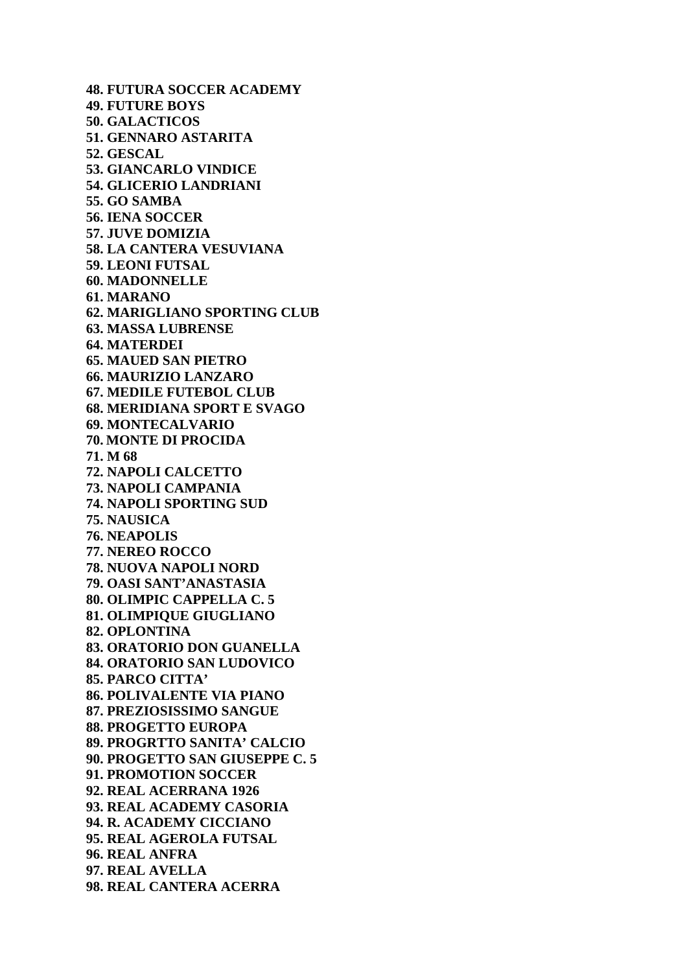**48. FUTURA SOCCER ACADEMY 49. FUTURE BOYS 50. GALACTICOS 51. GENNARO ASTARITA 52. GESCAL 53. GIANCARLO VINDICE 54. GLICERIO LANDRIANI 55. GO SAMBA 56. IENA SOCCER 57. JUVE DOMIZIA 58. LA CANTERA VESUVIANA 59. LEONI FUTSAL 60. MADONNELLE 61. MARANO 62. MARIGLIANO SPORTING CLUB 63. MASSA LUBRENSE 64. MATERDEI 65. MAUED SAN PIETRO 66. MAURIZIO LANZARO 67. MEDILE FUTEBOL CLUB 68. MERIDIANA SPORT E SVAGO 69. MONTECALVARIO 70. MONTE DI PROCIDA 71. M 68 72. NAPOLI CALCETTO 73. NAPOLI CAMPANIA 74. NAPOLI SPORTING SUD 75. NAUSICA 76. NEAPOLIS 77. NEREO ROCCO 78. NUOVA NAPOLI NORD 79. OASI SANT'ANASTASIA 80. OLIMPIC CAPPELLA C. 5 81. OLIMPIQUE GIUGLIANO 82. OPLONTINA 83. ORATORIO DON GUANELLA 84. ORATORIO SAN LUDOVICO 85. PARCO CITTA' 86. POLIVALENTE VIA PIANO 87. PREZIOSISSIMO SANGUE 88. PROGETTO EUROPA 89. PROGRTTO SANITA' CALCIO 90. PROGETTO SAN GIUSEPPE C. 5 91. PROMOTION SOCCER 92. REAL ACERRANA 1926 93. REAL ACADEMY CASORIA 94. R. ACADEMY CICCIANO 95. REAL AGEROLA FUTSAL 96. REAL ANFRA 97. REAL AVELLA 98. REAL CANTERA ACERRA**